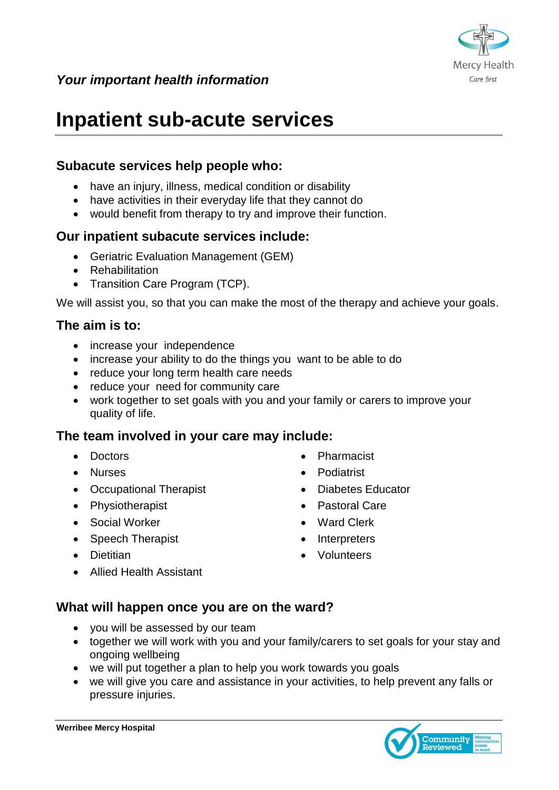

# **Inpatient sub-acute services**

# **Subacute services help people who:**

- have an injury, illness, medical condition or disability
- have activities in their everyday life that they cannot do
- would benefit from therapy to try and improve their function.

### **Our inpatient subacute services include:**

- Geriatric Evaluation Management (GEM)
- Rehabilitation
- Transition Care Program (TCP).

We will assist you, so that you can make the most of the therapy and achieve your goals.

### **The aim is to:**

- increase your independence
- increase your ability to do the things you want to be able to do
- reduce your long term health care needs
- reduce your need for community care
- work together to set goals with you and your family or carers to improve your quality of life.

#### **The team involved in your care may include:**

- Doctors
- Nurses
- Occupational Therapist
- Physiotherapist
- Social Worker
- Speech Therapist
- Dietitian
- Pharmacist
- Podiatrist
- Diabetes Educator
- Pastoral Care
- Ward Clerk
- Interpreters
- Volunteers

Allied Health Assistant

### **What will happen once you are on the ward?**

- you will be assessed by our team
- together we will work with you and your family/carers to set goals for your stay and ongoing wellbeing
- we will put together a plan to help you work towards you goals
- we will give you care and assistance in your activities, to help prevent any falls or pressure injuries.